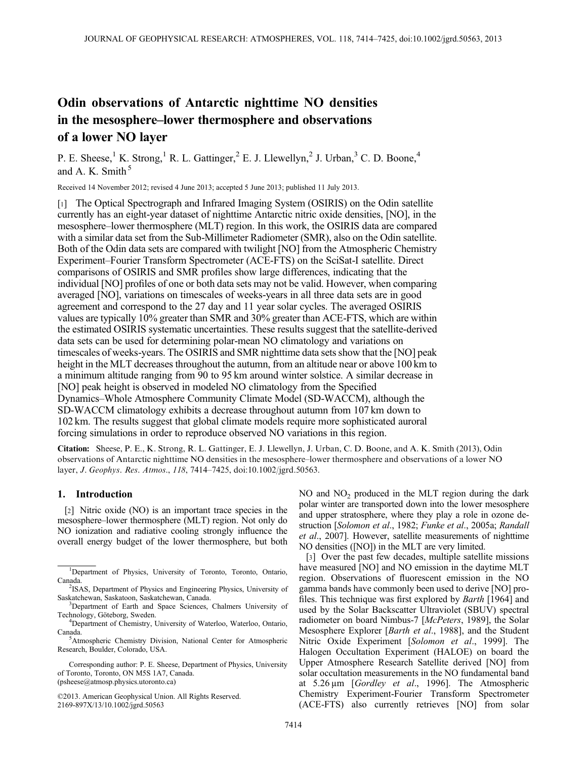# Odin observations of Antarctic nighttime NO densities in the mesosphere–lower thermosphere and observations of a lower NO layer

P. E. Sheese,<sup>1</sup> K. Strong,<sup>1</sup> R. L. Gattinger,<sup>2</sup> E. J. Llewellyn,<sup>2</sup> J. Urban,<sup>3</sup> C. D. Boone,<sup>4</sup> and A. K. Smith<sup>5</sup>

Received 14 November 2012; revised 4 June 2013; accepted 5 June 2013; published 11 July 2013.

[1] The Optical Spectrograph and Infrared Imaging System (OSIRIS) on the Odin satellite currently has an eight-year dataset of nighttime Antarctic nitric oxide densities, [NO], in the mesosphere–lower thermosphere (MLT) region. In this work, the OSIRIS data are compared with a similar data set from the Sub-Millimeter Radiometer (SMR), also on the Odin satellite. Both of the Odin data sets are compared with twilight [NO] from the Atmospheric Chemistry Experiment–Fourier Transform Spectrometer (ACE-FTS) on the SciSat-I satellite. Direct comparisons of OSIRIS and SMR profiles show large differences, indicating that the individual [NO] profiles of one or both data sets may not be valid. However, when comparing averaged [NO], variations on timescales of weeks-years in all three data sets are in good agreement and correspond to the 27 day and 11 year solar cycles. The averaged OSIRIS values are typically 10% greater than SMR and 30% greater than ACE-FTS, which are within the estimated OSIRIS systematic uncertainties. These results suggest that the satellite-derived data sets can be used for determining polar-mean NO climatology and variations on timescales of weeks-years. The OSIRIS and SMR nighttime data sets show that the [NO] peak height in the MLT decreases throughout the autumn, from an altitude near or above 100 km to a minimum altitude ranging from 90 to 95 km around winter solstice. A similar decrease in [NO] peak height is observed in modeled NO climatology from the Specified Dynamics–Whole Atmosphere Community Climate Model (SD-WACCM), although the SD-WACCM climatology exhibits a decrease throughout autumn from 107 km down to 102 km. The results suggest that global climate models require more sophisticated auroral forcing simulations in order to reproduce observed NO variations in this region.

Citation: Sheese, P. E., K. Strong, R. L. Gattinger, E. J. Llewellyn, J. Urban, C. D. Boone, and A. K. Smith (2013), Odin observations of Antarctic nighttime NO densities in the mesosphere–lower thermosphere and observations of a lower NO layer, J. Geophys. Res. Atmos., 118, 7414–7425, doi:10.1002/jgrd.50563.

## 1. Introduction

[2] Nitric oxide (NO) is an important trace species in the mesosphere–lower thermosphere (MLT) region. Not only do NO ionization and radiative cooling strongly influence the overall energy budget of the lower thermosphere, but both

©2013. American Geophysical Union. All Rights Reserved. 2169-897X/13/10.1002/jgrd.50563

 $NO$  and  $NO<sub>2</sub>$  produced in the MLT region during the dark polar winter are transported down into the lower mesosphere and upper stratosphere, where they play a role in ozone destruction [Solomon et al., 1982; Funke et al., 2005a; Randall et al., 2007]. However, satellite measurements of nighttime NO densities ([NO]) in the MLT are very limited.

[3] Over the past few decades, multiple satellite missions have measured [NO] and NO emission in the daytime MLT region. Observations of fluorescent emission in the NO gamma bands have commonly been used to derive [NO] profiles. This technique was first explored by Barth [1964] and used by the Solar Backscatter Ultraviolet (SBUV) spectral radiometer on board Nimbus-7 [McPeters, 1989], the Solar Mesosphere Explorer [Barth et al., 1988], and the Student Nitric Oxide Experiment [Solomon et al., 1999]. The Halogen Occultation Experiment (HALOE) on board the Upper Atmosphere Research Satellite derived [NO] from solar occultation measurements in the NO fundamental band at 5.26 μm [Gordley et al., 1996]. The Atmospheric Chemistry Experiment-Fourier Transform Spectrometer (ACE-FTS) also currently retrieves [NO] from solar

<sup>&</sup>lt;sup>1</sup>Department of Physics, University of Toronto, Toronto, Ontario, Canada.

<sup>&</sup>lt;sup>2</sup>ISAS, Department of Physics and Engineering Physics, University of Saskatchewan, Saskatoon, Saskatchewan, Canada. <sup>3</sup>

<sup>&</sup>lt;sup>3</sup>Department of Earth and Space Sciences, Chalmers University of Technology, Göteborg, Sweden. <sup>4</sup>

<sup>&</sup>lt;sup>4</sup>Department of Chemistry, University of Waterloo, Waterloo, Ontario, Canada.

<sup>&</sup>lt;sup>5</sup>Atmospheric Chemistry Division, National Center for Atmospheric Research, Boulder, Colorado, USA.

Corresponding author: P. E. Sheese, Department of Physics, University of Toronto, Toronto, ON M5S 1A7, Canada. (psheese@atmosp.physics.utoronto.ca)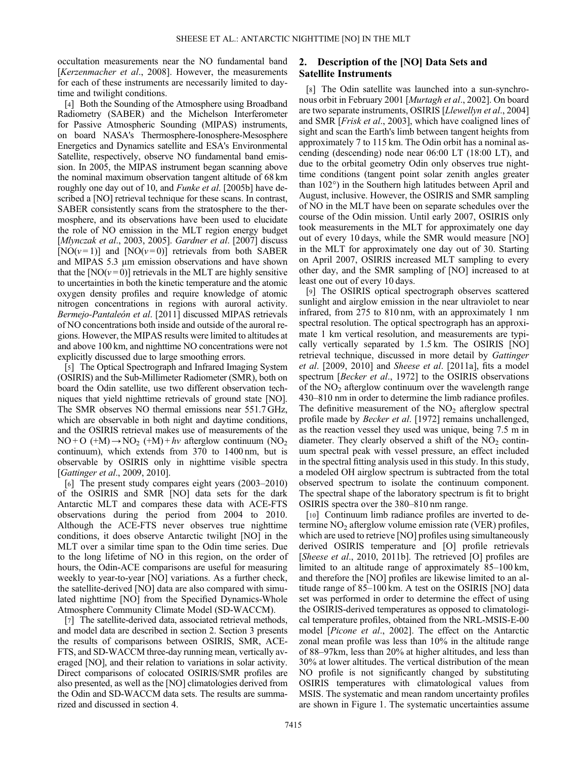occultation measurements near the NO fundamental band [Kerzenmacher et al., 2008]. However, the measurements for each of these instruments are necessarily limited to daytime and twilight conditions.

[4] Both the Sounding of the Atmosphere using Broadband Radiometry (SABER) and the Michelson Interferometer for Passive Atmospheric Sounding (MIPAS) instruments, on board NASA's Thermosphere-Ionosphere-Mesosphere Energetics and Dynamics satellite and ESA's Environmental Satellite, respectively, observe NO fundamental band emission. In 2005, the MIPAS instrument began scanning above the nominal maximum observation tangent altitude of 68 km roughly one day out of 10, and Funke et al. [2005b] have described a [NO] retrieval technique for these scans. In contrast, SABER consistently scans from the stratosphere to the thermosphere, and its observations have been used to elucidate the role of NO emission in the MLT region energy budget [*Mlynczak et al., 2003, 2005*]. *Gardner et al.* [2007] discuss [NO( $v=1$ )] and [NO( $v=0$ )] retrievals from both SABER and MIPAS 5.3 μm emission observations and have shown that the [NO( $v=0$ )] retrievals in the MLT are highly sensitive to uncertainties in both the kinetic temperature and the atomic oxygen density profiles and require knowledge of atomic nitrogen concentrations in regions with auroral activity. Bermejo-Pantaleón et al. [2011] discussed MIPAS retrievals of NO concentrations both inside and outside of the auroral regions. However, the MIPAS results were limited to altitudes at and above 100 km, and nighttime NO concentrations were not explicitly discussed due to large smoothing errors.

[5] The Optical Spectrograph and Infrared Imaging System (OSIRIS) and the Sub-Millimeter Radiometer (SMR), both on board the Odin satellite, use two different observation techniques that yield nighttime retrievals of ground state [NO]. The SMR observes NO thermal emissions near 551.7 GHz, which are observable in both night and daytime conditions, and the OSIRIS retrieval makes use of measurements of the  $NO + O$  (+M)  $\rightarrow NO_2$  (+M) + hv afterglow continuum (NO<sub>2</sub>) continuum), which extends from 370 to 1400 nm, but is observable by OSIRIS only in nighttime visible spectra [*Gattinger et al.*, 2009, 2010].

[6] The present study compares eight years (2003–2010) of the OSIRIS and SMR [NO] data sets for the dark Antarctic MLT and compares these data with ACE-FTS observations during the period from 2004 to 2010. Although the ACE-FTS never observes true nighttime conditions, it does observe Antarctic twilight [NO] in the MLT over a similar time span to the Odin time series. Due to the long lifetime of NO in this region, on the order of hours, the Odin-ACE comparisons are useful for measuring weekly to year-to-year [NO] variations. As a further check, the satellite-derived [NO] data are also compared with simulated nighttime [NO] from the Specified Dynamics-Whole Atmosphere Community Climate Model (SD-WACCM).

[7] The satellite-derived data, associated retrieval methods, and model data are described in section 2. Section 3 presents the results of comparisons between OSIRIS, SMR, ACE-FTS, and SD-WACCM three-day running mean, vertically averaged [NO], and their relation to variations in solar activity. Direct comparisons of colocated OSIRIS/SMR profiles are also presented, as well as the [NO] climatologies derived from the Odin and SD-WACCM data sets. The results are summarized and discussed in section 4.

## 2. Description of the [NO] Data Sets and Satellite Instruments

[8] The Odin satellite was launched into a sun-synchronous orbit in February 2001 [Murtagh et al., 2002]. On board are two separate instruments, OSIRIS [Llewellyn et al., 2004] and SMR [Frisk et al., 2003], which have coaligned lines of sight and scan the Earth's limb between tangent heights from approximately 7 to 115 km. The Odin orbit has a nominal ascending (descending) node near 06:00 LT (18:00 LT), and due to the orbital geometry Odin only observes true nighttime conditions (tangent point solar zenith angles greater than 102°) in the Southern high latitudes between April and August, inclusive. However, the OSIRIS and SMR sampling of NO in the MLT have been on separate schedules over the course of the Odin mission. Until early 2007, OSIRIS only took measurements in the MLT for approximately one day out of every 10 days, while the SMR would measure [NO] in the MLT for approximately one day out of 30. Starting on April 2007, OSIRIS increased MLT sampling to every other day, and the SMR sampling of [NO] increased to at least one out of every 10 days.

[9] The OSIRIS optical spectrograph observes scattered sunlight and airglow emission in the near ultraviolet to near infrared, from 275 to 810 nm, with an approximately 1 nm spectral resolution. The optical spectrograph has an approximate 1 km vertical resolution, and measurements are typically vertically separated by 1.5 km. The OSIRIS [NO] retrieval technique, discussed in more detail by Gattinger et al. [2009, 2010] and Sheese et al. [2011a], fits a model spectrum [*Becker et al.*, 1972] to the OSIRIS observations of the  $NO<sub>2</sub>$  afterglow continuum over the wavelength range 430–810 nm in order to determine the limb radiance profiles. The definitive measurement of the  $NO<sub>2</sub>$  afterglow spectral profile made by *Becker et al.* [1972] remains unchallenged, as the reaction vessel they used was unique, being 7.5 m in diameter. They clearly observed a shift of the  $NO<sub>2</sub>$  continuum spectral peak with vessel pressure, an effect included in the spectral fitting analysis used in this study. In this study, a modeled OH airglow spectrum is subtracted from the total observed spectrum to isolate the continuum component. The spectral shape of the laboratory spectrum is fit to bright OSIRIS spectra over the 380–810 nm range.

[10] Continuum limb radiance profiles are inverted to determine  $NO<sub>2</sub>$  afterglow volume emission rate (VER) profiles, which are used to retrieve [NO] profiles using simultaneously derived OSIRIS temperature and [O] profile retrievals [*Sheese et al.*, 2010, 2011b]. The retrieved [O] profiles are limited to an altitude range of approximately 85–100 km, and therefore the [NO] profiles are likewise limited to an altitude range of 85–100 km. A test on the OSIRIS [NO] data set was performed in order to determine the effect of using the OSIRIS-derived temperatures as opposed to climatological temperature profiles, obtained from the NRL-MSIS-E-00 model [Picone et al., 2002]. The effect on the Antarctic zonal mean profile was less than 10% in the altitude range of 88–97km, less than 20% at higher altitudes, and less than 30% at lower altitudes. The vertical distribution of the mean NO profile is not significantly changed by substituting OSIRIS temperatures with climatological values from MSIS. The systematic and mean random uncertainty profiles are shown in Figure 1. The systematic uncertainties assume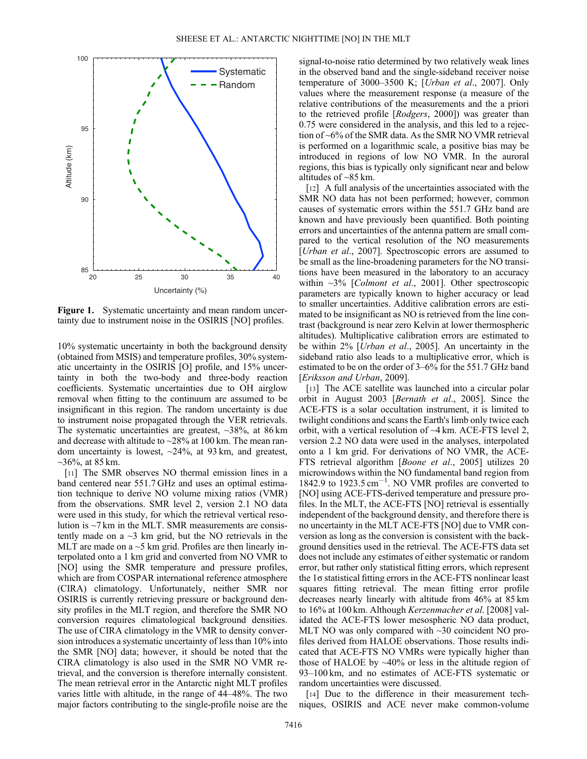

Figure 1. Systematic uncertainty and mean random uncertainty due to instrument noise in the OSIRIS [NO] profiles.

10% systematic uncertainty in both the background density (obtained from MSIS) and temperature profiles, 30% systematic uncertainty in the OSIRIS [O] profile, and 15% uncertainty in both the two-body and three-body reaction coefficients. Systematic uncertainties due to OH airglow removal when fitting to the continuum are assumed to be insignificant in this region. The random uncertainty is due to instrument noise propagated through the VER retrievals. The systematic uncertainties are greatest,  $\sim$ 38%, at 86 km and decrease with altitude to ~28% at 100 km. The mean random uncertainty is lowest, ~24%, at 93 km, and greatest,  $\sim$ 36%, at 85 km.

[11] The SMR observes NO thermal emission lines in a band centered near 551.7 GHz and uses an optimal estimation technique to derive NO volume mixing ratios (VMR) from the observations. SMR level 2, version 2.1 NO data were used in this study, for which the retrieval vertical resolution is  $\sim$ 7 km in the MLT. SMR measurements are consistently made on a  $\sim$ 3 km grid, but the NO retrievals in the MLT are made on a  $\sim$  5 km grid. Profiles are then linearly interpolated onto a 1 km grid and converted from NO VMR to [NO] using the SMR temperature and pressure profiles, which are from COSPAR international reference atmosphere (CIRA) climatology. Unfortunately, neither SMR nor OSIRIS is currently retrieving pressure or background density profiles in the MLT region, and therefore the SMR NO conversion requires climatological background densities. The use of CIRA climatology in the VMR to density conversion introduces a systematic uncertainty of less than 10% into the SMR [NO] data; however, it should be noted that the CIRA climatology is also used in the SMR NO VMR retrieval, and the conversion is therefore internally consistent. The mean retrieval error in the Antarctic night MLT profiles varies little with altitude, in the range of 44–48%. The two major factors contributing to the single-profile noise are the

signal-to-noise ratio determined by two relatively weak lines in the observed band and the single-sideband receiver noise temperature of 3000–3500 K; [Urban et al., 2007]. Only values where the measurement response (a measure of the relative contributions of the measurements and the a priori to the retrieved profile [Rodgers, 2000]) was greater than 0.75 were considered in the analysis, and this led to a rejection of ~6% of the SMR data. As the SMR NO VMR retrieval is performed on a logarithmic scale, a positive bias may be introduced in regions of low NO VMR. In the auroral regions, this bias is typically only significant near and below altitudes of  $\sim$ 85 km.

[12] A full analysis of the uncertainties associated with the SMR NO data has not been performed; however, common causes of systematic errors within the 551.7 GHz band are known and have previously been quantified. Both pointing errors and uncertainties of the antenna pattern are small compared to the vertical resolution of the NO measurements [*Urban et al.*, 2007]. Spectroscopic errors are assumed to be small as the line-broadening parameters for the NO transitions have been measured in the laboratory to an accuracy within  $\sim$ 3% [*Colmont et al.*, 2001]. Other spectroscopic parameters are typically known to higher accuracy or lead to smaller uncertainties. Additive calibration errors are estimated to be insignificant as NO is retrieved from the line contrast (background is near zero Kelvin at lower thermospheric altitudes). Multiplicative calibration errors are estimated to be within 2% [Urban et al., 2005]. An uncertainty in the sideband ratio also leads to a multiplicative error, which is estimated to be on the order of 3–6% for the 551.7 GHz band [Eriksson and Urban, 2009].

[13] The ACE satellite was launched into a circular polar orbit in August 2003 [Bernath et al., 2005]. Since the ACE-FTS is a solar occultation instrument, it is limited to twilight conditions and scans the Earth's limb only twice each orbit, with a vertical resolution of ~4 km. ACE-FTS level 2, version 2.2 NO data were used in the analyses, interpolated onto a 1 km grid. For derivations of NO VMR, the ACE-FTS retrieval algorithm [Boone et al., 2005] utilizes 20 microwindows within the NO fundamental band region from 1842.9 to  $1923.5 \text{ cm}^{-1}$ . NO VMR profiles are converted to [NO] using ACE-FTS-derived temperature and pressure profiles. In the MLT, the ACE-FTS [NO] retrieval is essentially independent of the background density, and therefore there is no uncertainty in the MLT ACE-FTS [NO] due to VMR conversion as long as the conversion is consistent with the background densities used in the retrieval. The ACE-FTS data set does not include any estimates of either systematic or random error, but rather only statistical fitting errors, which represent the 1σ statistical fitting errors in the ACE-FTS nonlinear least squares fitting retrieval. The mean fitting error profile decreases nearly linearly with altitude from 46% at 85 km to 16% at 100 km. Although Kerzenmacher et al. [2008] validated the ACE-FTS lower mesospheric NO data product, MLT NO was only compared with ~30 coincident NO profiles derived from HALOE observations. Those results indicated that ACE-FTS NO VMRs were typically higher than those of HALOE by  $\sim$ 40% or less in the altitude region of 93–100 km, and no estimates of ACE-FTS systematic or random uncertainties were discussed.

[14] Due to the difference in their measurement techniques, OSIRIS and ACE never make common-volume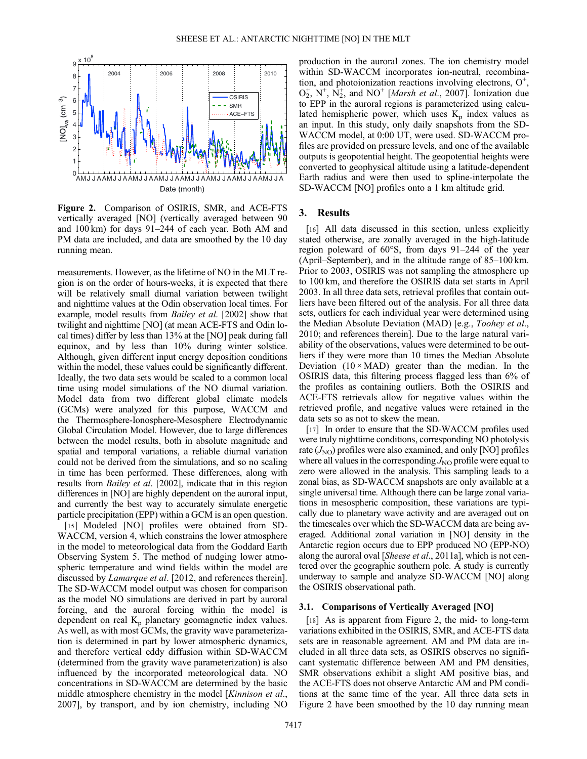

Figure 2. Comparison of OSIRIS, SMR, and ACE-FTS vertically averaged [NO] (vertically averaged between 90 and 100 km) for days 91–244 of each year. Both AM and PM data are included, and data are smoothed by the 10 day running mean.

measurements. However, as the lifetime of NO in the MLT region is on the order of hours-weeks, it is expected that there will be relatively small diurnal variation between twilight and nighttime values at the Odin observation local times. For example, model results from Bailey et al. [2002] show that twilight and nighttime [NO] (at mean ACE-FTS and Odin local times) differ by less than 13% at the [NO] peak during fall equinox, and by less than 10% during winter solstice. Although, given different input energy deposition conditions within the model, these values could be significantly different. Ideally, the two data sets would be scaled to a common local time using model simulations of the NO diurnal variation. Model data from two different global climate models (GCMs) were analyzed for this purpose, WACCM and the Thermosphere-Ionosphere-Mesosphere Electrodynamic Global Circulation Model. However, due to large differences between the model results, both in absolute magnitude and spatial and temporal variations, a reliable diurnal variation could not be derived from the simulations, and so no scaling in time has been performed. These differences, along with results from Bailey et al. [2002], indicate that in this region differences in [NO] are highly dependent on the auroral input, and currently the best way to accurately simulate energetic particle precipitation (EPP) within a GCM is an open question.

[15] Modeled [NO] profiles were obtained from SD-WACCM, version 4, which constrains the lower atmosphere in the model to meteorological data from the Goddard Earth Observing System 5. The method of nudging lower atmospheric temperature and wind fields within the model are discussed by Lamarque et al. [2012, and references therein]. The SD-WACCM model output was chosen for comparison as the model NO simulations are derived in part by auroral forcing, and the auroral forcing within the model is dependent on real  $K_p$  planetary geomagnetic index values. As well, as with most GCMs, the gravity wave parameterization is determined in part by lower atmospheric dynamics, and therefore vertical eddy diffusion within SD-WACCM (determined from the gravity wave parameterization) is also influenced by the incorporated meteorological data. NO concentrations in SD-WACCM are determined by the basic middle atmosphere chemistry in the model [Kinnison et al., 2007], by transport, and by ion chemistry, including NO production in the auroral zones. The ion chemistry model within SD-WACCM incorporates ion-neutral, recombination, and photoionization reactions involving electrons,  $O^+$ ,  $O_2^+$ ,  $N^+$ ,  $N_2^+$ , and NO<sup>+</sup> [*Marsh et al.*, 2007]. Ionization due to EPP in the auroral regions is parameterized using calculated hemispheric power, which uses  $K_p$  index values as an input. In this study, only daily snapshots from the SD-WACCM model, at 0:00 UT, were used. SD-WACCM profiles are provided on pressure levels, and one of the available outputs is geopotential height. The geopotential heights were converted to geophysical altitude using a latitude-dependent Earth radius and were then used to spline-interpolate the SD-WACCM [NO] profiles onto a 1 km altitude grid.

### 3. Results

[16] All data discussed in this section, unless explicitly stated otherwise, are zonally averaged in the high-latitude region poleward of 60°S, from days 91–244 of the year (April–September), and in the altitude range of 85–100 km. Prior to 2003, OSIRIS was not sampling the atmosphere up to 100 km, and therefore the OSIRIS data set starts in April 2003. In all three data sets, retrieval profiles that contain outliers have been filtered out of the analysis. For all three data sets, outliers for each individual year were determined using the Median Absolute Deviation (MAD) [e.g., Toohey et al., 2010; and references therein]. Due to the large natural variability of the observations, values were determined to be outliers if they were more than 10 times the Median Absolute Deviation  $(10 \times MAD)$  greater than the median. In the OSIRIS data, this filtering process flagged less than 6% of the profiles as containing outliers. Both the OSIRIS and ACE-FTS retrievals allow for negative values within the retrieved profile, and negative values were retained in the data sets so as not to skew the mean.

[17] In order to ensure that the SD-WACCM profiles used were truly nighttime conditions, corresponding NO photolysis rate  $(J_{NO})$  profiles were also examined, and only [NO] profiles where all values in the corresponding  $J_{\text{NO}}$  profile were equal to zero were allowed in the analysis. This sampling leads to a zonal bias, as SD-WACCM snapshots are only available at a single universal time. Although there can be large zonal variations in mesospheric composition, these variations are typically due to planetary wave activity and are averaged out on the timescales over which the SD-WACCM data are being averaged. Additional zonal variation in [NO] density in the Antarctic region occurs due to EPP produced NO (EPP-NO) along the auroral oval [Sheese et al., 2011a], which is not centered over the geographic southern pole. A study is currently underway to sample and analyze SD-WACCM [NO] along the OSIRIS observational path.

#### 3.1. Comparisons of Vertically Averaged [NO]

[18] As is apparent from Figure 2, the mid- to long-term variations exhibited in the OSIRIS, SMR, and ACE-FTS data sets are in reasonable agreement. AM and PM data are included in all three data sets, as OSIRIS observes no significant systematic difference between AM and PM densities, SMR observations exhibit a slight AM positive bias, and the ACE-FTS does not observe Antarctic AM and PM conditions at the same time of the year. All three data sets in Figure 2 have been smoothed by the 10 day running mean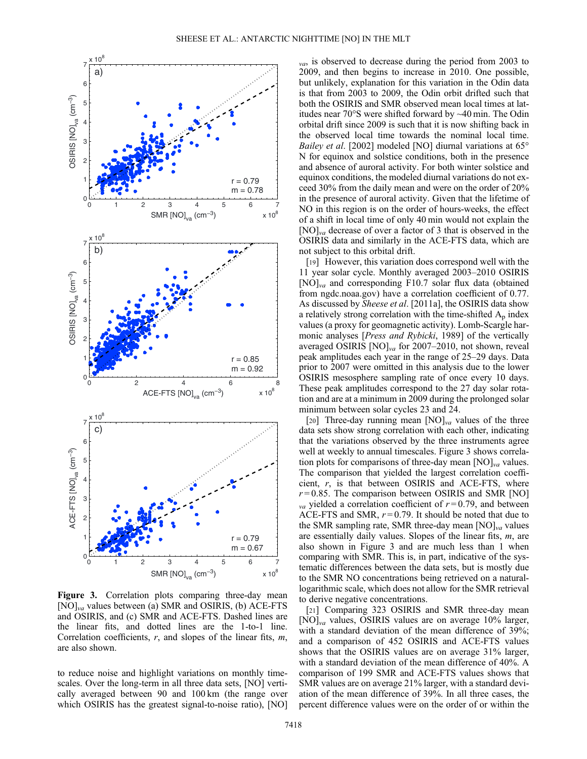

Figure 3. Correlation plots comparing three-day mean  $[NO]_{va}$  values between (a) SMR and OSIRIS, (b) ACE-FTS and OSIRIS, and (c) SMR and ACE-FTS. Dashed lines are the linear fits, and dotted lines are the 1-to-1 line. Correlation coefficients,  $r$ , and slopes of the linear fits,  $m$ , are also shown.

to reduce noise and highlight variations on monthly timescales. Over the long-term in all three data sets, [NO] vertically averaged between 90 and 100 km (the range over which OSIRIS has the greatest signal-to-noise ratio), [NO]

 $_{va}$ , is observed to decrease during the period from 2003 to 2009, and then begins to increase in 2010. One possible, but unlikely, explanation for this variation in the Odin data is that from 2003 to 2009, the Odin orbit drifted such that both the OSIRIS and SMR observed mean local times at latitudes near 70°S were shifted forward by ~40 min. The Odin orbital drift since 2009 is such that it is now shifting back in the observed local time towards the nominal local time. Bailey et al. [2002] modeled [NO] diurnal variations at 65° N for equinox and solstice conditions, both in the presence and absence of auroral activity. For both winter solstice and equinox conditions, the modeled diurnal variations do not exceed 30% from the daily mean and were on the order of 20% in the presence of auroral activity. Given that the lifetime of NO in this region is on the order of hours-weeks, the effect of a shift in local time of only 40 min would not explain the  $[NO]_{va}$  decrease of over a factor of 3 that is observed in the OSIRIS data and similarly in the ACE-FTS data, which are not subject to this orbital drift.

[19] However, this variation does correspond well with the 11 year solar cycle. Monthly averaged 2003–2010 OSIRIS  $[NO]_{va}$  and corresponding F10.7 solar flux data (obtained from ngdc.noaa.gov) have a correlation coefficient of 0.77. As discussed by Sheese et al. [2011a], the OSIRIS data show a relatively strong correlation with the time-shifted  $A_p$  index values (a proxy for geomagnetic activity). Lomb-Scargle harmonic analyses [*Press and Rybicki*, 1989] of the vertically averaged OSIRIS  $[NO]_{va}$  for 2007–2010, not shown, reveal peak amplitudes each year in the range of 25–29 days. Data prior to 2007 were omitted in this analysis due to the lower OSIRIS mesosphere sampling rate of once every 10 days. These peak amplitudes correspond to the 27 day solar rotation and are at a minimum in 2009 during the prolonged solar minimum between solar cycles 23 and 24.

[20] Three-day running mean  $[NO]_{va}$  values of the three data sets show strong correlation with each other, indicating that the variations observed by the three instruments agree well at weekly to annual timescales. Figure 3 shows correlation plots for comparisons of three-day mean  $[NO]<sub>va</sub>$  values. The comparison that yielded the largest correlation coefficient,  $r$ , is that between OSIRIS and ACE-FTS, where  $r = 0.85$ . The comparison between OSIRIS and SMR [NO]  $_{va}$  yielded a correlation coefficient of  $r = 0.79$ , and between ACE-FTS and SMR,  $r = 0.79$ . It should be noted that due to the SMR sampling rate, SMR three-day mean  $[NO]_{va}$  values are essentially daily values. Slopes of the linear fits,  $m$ , are also shown in Figure 3 and are much less than 1 when comparing with SMR. This is, in part, indicative of the systematic differences between the data sets, but is mostly due to the SMR NO concentrations being retrieved on a naturallogarithmic scale, which does not allow for the SMR retrieval to derive negative concentrations.

[21] Comparing 323 OSIRIS and SMR three-day mean  $[NO]_{va}$  values, OSIRIS values are on average 10% larger, with a standard deviation of the mean difference of 39%; and a comparison of 452 OSIRIS and ACE-FTS values shows that the OSIRIS values are on average 31% larger, with a standard deviation of the mean difference of 40%. A comparison of 199 SMR and ACE-FTS values shows that SMR values are on average 21% larger, with a standard deviation of the mean difference of 39%. In all three cases, the percent difference values were on the order of or within the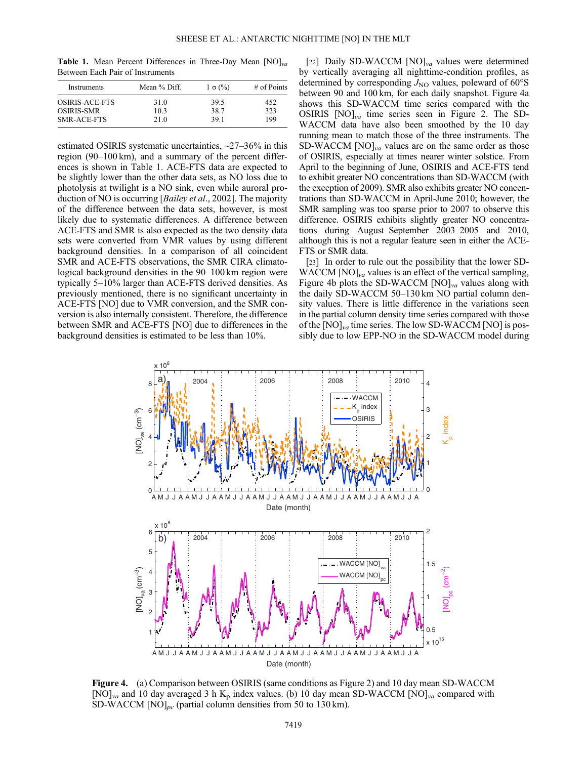**Table 1.** Mean Percent Differences in Three-Day Mean  $[NO]_{va}$ Between Each Pair of Instruments

| Instruments        | Mean % Diff. | $1 \sigma$ (%) | $#$ of Points |
|--------------------|--------------|----------------|---------------|
| OSIRIS-ACE-FTS     | 31.0         | 39.5           | 452           |
| <b>OSIRIS-SMR</b>  | 103          | 38.7           | 323           |
| <b>SMR-ACE-FTS</b> | 21.0         | 391            | 199           |

estimated OSIRIS systematic uncertainties, ~27–36% in this region (90–100 km), and a summary of the percent differences is shown in Table 1. ACE-FTS data are expected to be slightly lower than the other data sets, as NO loss due to photolysis at twilight is a NO sink, even while auroral production of NO is occurring [*Bailey et al.*, 2002]. The majority of the difference between the data sets, however, is most likely due to systematic differences. A difference between ACE-FTS and SMR is also expected as the two density data sets were converted from VMR values by using different background densities. In a comparison of all coincident SMR and ACE-FTS observations, the SMR CIRA climatological background densities in the 90–100 km region were typically 5–10% larger than ACE-FTS derived densities. As previously mentioned, there is no significant uncertainty in ACE-FTS [NO] due to VMR conversion, and the SMR conversion is also internally consistent. Therefore, the difference between SMR and ACE-FTS [NO] due to differences in the background densities is estimated to be less than 10%.

[22] Daily SD-WACCM  $[NO]_{va}$  values were determined by vertically averaging all nighttime-condition profiles, as determined by corresponding  $J_{\text{NO}}$  values, poleward of 60 $\textdegree$ S between 90 and 100 km, for each daily snapshot. Figure 4a shows this SD-WACCM time series compared with the OSIRIS  $[NO]_{va}$  time series seen in Figure 2. The SD-WACCM data have also been smoothed by the 10 day running mean to match those of the three instruments. The SD-WACCM  $[NO]_{va}$  values are on the same order as those of OSIRIS, especially at times nearer winter solstice. From April to the beginning of June, OSIRIS and ACE-FTS tend to exhibit greater NO concentrations than SD-WACCM (with the exception of 2009). SMR also exhibits greater NO concentrations than SD-WACCM in April-June 2010; however, the SMR sampling was too sparse prior to 2007 to observe this difference. OSIRIS exhibits slightly greater NO concentrations during August–September 2003–2005 and 2010, although this is not a regular feature seen in either the ACE-FTS or SMR data.

[23] In order to rule out the possibility that the lower SD- $WACCM [NO]<sub>va</sub>$  values is an effect of the vertical sampling, Figure 4b plots the SD-WACCM  $[NO]_{va}$  values along with the daily SD-WACCM 50–130 km NO partial column density values. There is little difference in the variations seen in the partial column density time series compared with those of the  $[NO]_{va}$  time series. The low SD-WACCM  $[NO]$  is possibly due to low EPP-NO in the SD-WACCM model during



Figure 4. (a) Comparison between OSIRIS (same conditions as Figure 2) and 10 day mean SD-WACCM [NO]<sub>va</sub> and 10 day averaged 3 h K<sub>p</sub> index values. (b) 10 day mean SD-WACCM [NO]<sub>va</sub> compared with SD-WACCM  $[NO]_{pc}$  (partial column densities from 50 to 130 km).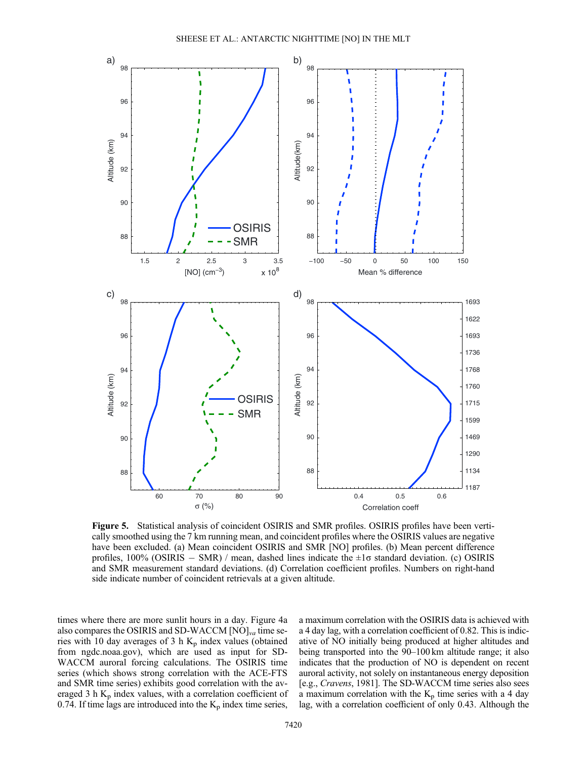

Figure 5. Statistical analysis of coincident OSIRIS and SMR profiles. OSIRIS profiles have been vertically smoothed using the 7 km running mean, and coincident profiles where the OSIRIS values are negative have been excluded. (a) Mean coincident OSIRIS and SMR [NO] profiles. (b) Mean percent difference profiles,  $100\%$  (OSIRIS – SMR) / mean, dashed lines indicate the  $\pm 1\sigma$  standard deviation. (c) OSIRIS and SMR measurement standard deviations. (d) Correlation coefficient profiles. Numbers on right-hand side indicate number of coincident retrievals at a given altitude.

times where there are more sunlit hours in a day. Figure 4a also compares the OSIRIS and SD-WACCM  $[NO]_{va}$  time series with 10 day averages of 3 h  $K_p$  index values (obtained from ngdc.noaa.gov), which are used as input for SD-WACCM auroral forcing calculations. The OSIRIS time series (which shows strong correlation with the ACE-FTS and SMR time series) exhibits good correlation with the averaged 3 h  $K_p$  index values, with a correlation coefficient of 0.74. If time lags are introduced into the  $K_p$  index time series,

a maximum correlation with the OSIRIS data is achieved with a 4 day lag, with a correlation coefficient of 0.82. This is indicative of NO initially being produced at higher altitudes and being transported into the 90–100 km altitude range; it also indicates that the production of NO is dependent on recent auroral activity, not solely on instantaneous energy deposition [e.g., Cravens, 1981]. The SD-WACCM time series also sees a maximum correlation with the  $K_p$  time series with a 4 day lag, with a correlation coefficient of only 0.43. Although the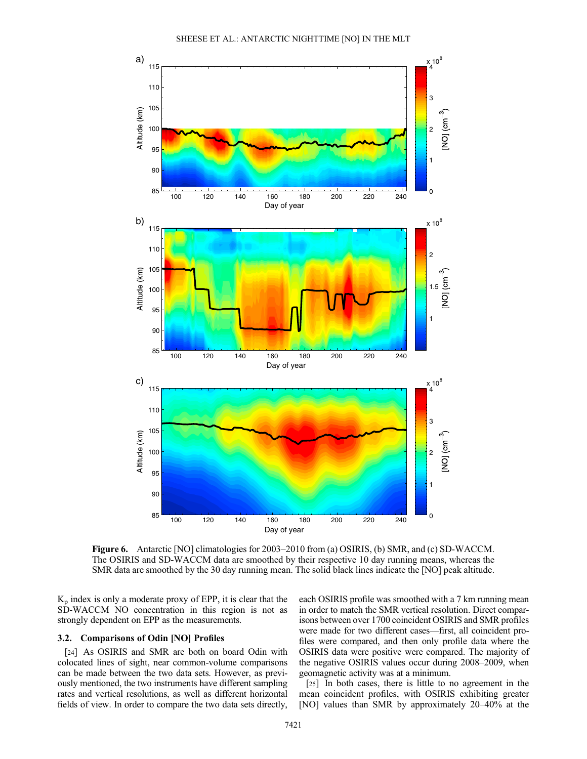

Figure 6. Antarctic [NO] climatologies for 2003–2010 from (a) OSIRIS, (b) SMR, and (c) SD-WACCM. The OSIRIS and SD-WACCM data are smoothed by their respective 10 day running means, whereas the SMR data are smoothed by the 30 day running mean. The solid black lines indicate the [NO] peak altitude.

 $K_p$  index is only a moderate proxy of EPP, it is clear that the SD-WACCM NO concentration in this region is not as strongly dependent on EPP as the measurements.

## 3.2. Comparisons of Odin [NO] Profiles

[24] As OSIRIS and SMR are both on board Odin with colocated lines of sight, near common-volume comparisons can be made between the two data sets. However, as previously mentioned, the two instruments have different sampling rates and vertical resolutions, as well as different horizontal fields of view. In order to compare the two data sets directly,

each OSIRIS profile was smoothed with a 7 km running mean in order to match the SMR vertical resolution. Direct comparisons between over 1700 coincident OSIRIS and SMR profiles were made for two different cases—first, all coincident profiles were compared, and then only profile data where the OSIRIS data were positive were compared. The majority of the negative OSIRIS values occur during 2008–2009, when geomagnetic activity was at a minimum.

[25] In both cases, there is little to no agreement in the mean coincident profiles, with OSIRIS exhibiting greater [NO] values than SMR by approximately 20–40% at the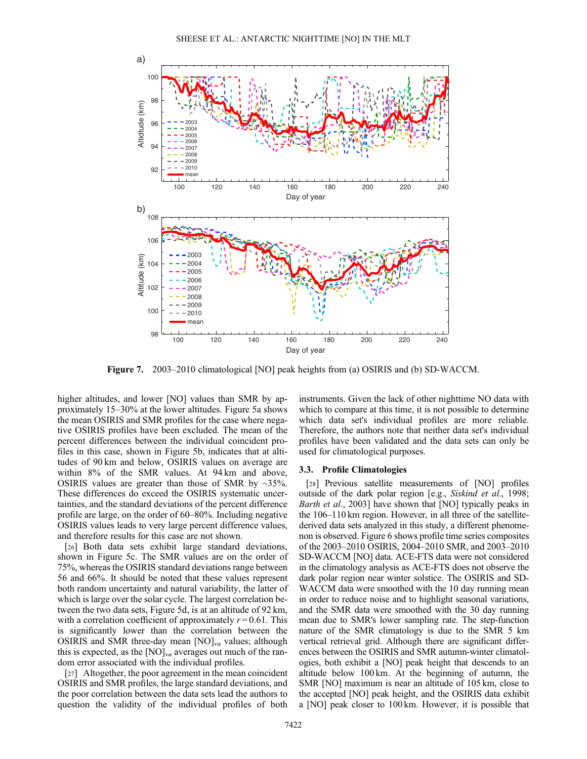

Figure 7. 2003–2010 climatological [NO] peak heights from (a) OSIRIS and (b) SD-WACCM.

higher altitudes, and lower [NO] values than SMR by approximately 15–30% at the lower altitudes. Figure 5a shows the mean OSIRIS and SMR profiles for the case where negative OSIRIS profiles have been excluded. The mean of the percent differences between the individual coincident profiles in this case, shown in Figure 5b, indicates that at altitudes of 90 km and below, OSIRIS values on average are within 8% of the SMR values. At 94 km and above, OSIRIS values are greater than those of SMR by  $\sim$ 35%. These differences do exceed the OSIRIS systematic uncertainties, and the standard deviations of the percent difference profile are large, on the order of 60–80%. Including negative OSIRIS values leads to very large percent difference values, and therefore results for this case are not shown.

[26] Both data sets exhibit large standard deviations, shown in Figure 5c. The SMR values are on the order of 75%, whereas the OSIRIS standard deviations range between 56 and 66%. It should be noted that these values represent both random uncertainty and natural variability, the latter of which is large over the solar cycle. The largest correlation between the two data sets, Figure 5d, is at an altitude of 92 km, with a correlation coefficient of approximately  $r = 0.61$ . This is significantly lower than the correlation between the OSIRIS and SMR three-day mean  $[NO]_{va}$  values; although this is expected, as the  $[NO]_{va}$  averages out much of the random error associated with the individual profiles.

[27] Altogether, the poor agreement in the mean coincident OSIRIS and SMR profiles, the large standard deviations, and the poor correlation between the data sets lead the authors to question the validity of the individual profiles of both

instruments. Given the lack of other nighttime NO data with which to compare at this time, it is not possible to determine which data set's individual profiles are more reliable. Therefore, the authors note that neither data set's individual profiles have been validated and the data sets can only be used for climatological purposes.

#### 3.3. Profile Climatologies

[28] Previous satellite measurements of [NO] profiles outside of the dark polar region [e.g., Siskind et al., 1998; Barth et al., 2003] have shown that [NO] typically peaks in the 106–110 km region. However, in all three of the satellitederived data sets analyzed in this study, a different phenomenon is observed. Figure 6 shows profile time series composites of the 2003–2010 OSIRIS, 2004–2010 SMR, and 2003–2010 SD-WACCM [NO] data. ACE-FTS data were not considered in the climatology analysis as ACE-FTS does not observe the dark polar region near winter solstice. The OSIRIS and SD-WACCM data were smoothed with the 10 day running mean in order to reduce noise and to highlight seasonal variations, and the SMR data were smoothed with the 30 day running mean due to SMR's lower sampling rate. The step-function nature of the SMR climatology is due to the SMR 5 km vertical retrieval grid. Although there are significant differences between the OSIRIS and SMR autumn-winter climatologies, both exhibit a [NO] peak height that descends to an altitude below 100 km. At the beginning of autumn, the SMR [NO] maximum is near an altitude of 105 km, close to the accepted [NO] peak height, and the OSIRIS data exhibit a [NO] peak closer to 100 km. However, it is possible that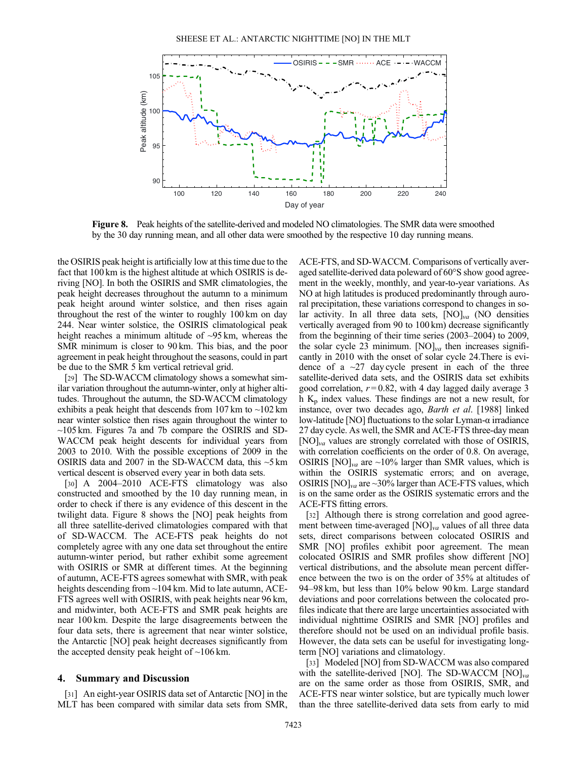

Figure 8. Peak heights of the satellite-derived and modeled NO climatologies. The SMR data were smoothed by the 30 day running mean, and all other data were smoothed by the respective 10 day running means.

the OSIRIS peak height is artificially low at this time due to the fact that 100 km is the highest altitude at which OSIRIS is deriving [NO]. In both the OSIRIS and SMR climatologies, the peak height decreases throughout the autumn to a minimum peak height around winter solstice, and then rises again throughout the rest of the winter to roughly 100 km on day 244. Near winter solstice, the OSIRIS climatological peak height reaches a minimum altitude of ~95 km, whereas the SMR minimum is closer to 90 km. This bias, and the poor agreement in peak height throughout the seasons, could in part be due to the SMR 5 km vertical retrieval grid.

[29] The SD-WACCM climatology shows a somewhat similar variation throughout the autumn-winter, only at higher altitudes. Throughout the autumn, the SD-WACCM climatology exhibits a peak height that descends from  $107 \text{ km}$  to  $\sim$  102 km near winter solstice then rises again throughout the winter to  $\sim$ 105 km. Figures 7a and 7b compare the OSIRIS and SD-WACCM peak height descents for individual years from 2003 to 2010. With the possible exceptions of 2009 in the OSIRIS data and 2007 in the SD-WACCM data, this ~5 km vertical descent is observed every year in both data sets.

[30] A 2004–2010 ACE-FTS climatology was also constructed and smoothed by the 10 day running mean, in order to check if there is any evidence of this descent in the twilight data. Figure 8 shows the [NO] peak heights from all three satellite-derived climatologies compared with that of SD-WACCM. The ACE-FTS peak heights do not completely agree with any one data set throughout the entire autumn-winter period, but rather exhibit some agreement with OSIRIS or SMR at different times. At the beginning of autumn, ACE-FTS agrees somewhat with SMR, with peak heights descending from ~104 km. Mid to late autumn, ACE-FTS agrees well with OSIRIS, with peak heights near 96 km, and midwinter, both ACE-FTS and SMR peak heights are near 100 km. Despite the large disagreements between the four data sets, there is agreement that near winter solstice, the Antarctic [NO] peak height decreases significantly from the accepted density peak height of  $\sim$ 106 km.

## 4. Summary and Discussion

[31] An eight-year OSIRIS data set of Antarctic [NO] in the MLT has been compared with similar data sets from SMR,

ACE-FTS, and SD-WACCM. Comparisons of vertically averaged satellite-derived data poleward of 60°S show good agreement in the weekly, monthly, and year-to-year variations. As NO at high latitudes is produced predominantly through auroral precipitation, these variations correspond to changes in solar activity. In all three data sets,  $[NO]_{va}$  (NO densities vertically averaged from 90 to 100 km) decrease significantly from the beginning of their time series (2003–2004) to 2009, the solar cycle 23 minimum.  $[NO]_{va}$  then increases significantly in 2010 with the onset of solar cycle 24.There is evidence of a  $\sim$ 27 day cycle present in each of the three satellite-derived data sets, and the OSIRIS data set exhibits good correlation,  $r = 0.82$ , with 4 day lagged daily average 3 h  $K_p$  index values. These findings are not a new result, for instance, over two decades ago, Barth et al. [1988] linked low-latitude [NO] fluctuations to the solar Lyman-α irradiance 27 day cycle. As well, the SMR and ACE-FTS three-day mean  $[NO]_{va}$  values are strongly correlated with those of OSIRIS, with correlation coefficients on the order of 0.8. On average, OSIRIS  $[NO]_{va}$  are ~10% larger than SMR values, which is within the OSIRIS systematic errors; and on average, OSIRIS  $[NO]_{va}$  are ~30% larger than ACE-FTS values, which is on the same order as the OSIRIS systematic errors and the ACE-FTS fitting errors.

[32] Although there is strong correlation and good agreement between time-averaged  $[NO]_{va}$  values of all three data sets, direct comparisons between colocated OSIRIS and SMR [NO] profiles exhibit poor agreement. The mean colocated OSIRIS and SMR profiles show different [NO] vertical distributions, and the absolute mean percent difference between the two is on the order of 35% at altitudes of 94–98 km, but less than 10% below 90 km. Large standard deviations and poor correlations between the colocated profiles indicate that there are large uncertainties associated with individual nighttime OSIRIS and SMR [NO] profiles and therefore should not be used on an individual profile basis. However, the data sets can be useful for investigating longterm [NO] variations and climatology.

[33] Modeled [NO] from SD-WACCM was also compared with the satellite-derived [NO]. The SD-WACCM  $[NO]_{va}$ are on the same order as those from OSIRIS, SMR, and ACE-FTS near winter solstice, but are typically much lower than the three satellite-derived data sets from early to mid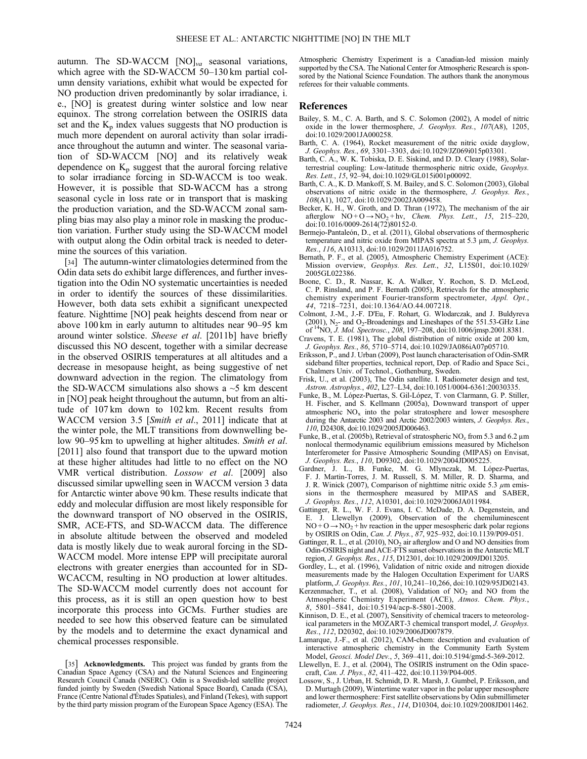autumn. The SD-WACCM  $[NO]_{va}$  seasonal variations, which agree with the SD-WACCM 50–130 km partial column density variations, exhibit what would be expected for NO production driven predominantly by solar irradiance, i. e., [NO] is greatest during winter solstice and low near equinox. The strong correlation between the OSIRIS data set and the  $K_p$  index values suggests that NO production is much more dependent on auroral activity than solar irradiance throughout the autumn and winter. The seasonal variation of SD-WACCM [NO] and its relatively weak dependence on  $K_p$  suggest that the auroral forcing relative to solar irradiance forcing in SD-WACCM is too weak. However, it is possible that SD-WACCM has a strong seasonal cycle in loss rate or in transport that is masking the production variation, and the SD-WACCM zonal sampling bias may also play a minor role in masking the production variation. Further study using the SD-WACCM model with output along the Odin orbital track is needed to determine the sources of this variation.

[34] The autumn-winter climatologies determined from the Odin data sets do exhibit large differences, and further investigation into the Odin NO systematic uncertainties is needed in order to identify the sources of these dissimilarities. However, both data sets exhibit a significant unexpected feature. Nighttime [NO] peak heights descend from near or above 100 km in early autumn to altitudes near 90–95 km around winter solstice. Sheese et al. [2011b] have briefly discussed this NO descent, together with a similar decrease in the observed OSIRIS temperatures at all altitudes and a decrease in mesopause height, as being suggestive of net downward advection in the region. The climatology from the SD-WACCM simulations also shows a  $\sim$ 5 km descent in [NO] peak height throughout the autumn, but from an altitude of 107 km down to 102 km. Recent results from WACCM version 3.5 [Smith et al., 2011] indicate that at the winter pole, the MLT transitions from downwelling below 90–95 km to upwelling at higher altitudes. Smith et al. [2011] also found that transport due to the upward motion at these higher altitudes had little to no effect on the NO VMR vertical distribution. Lossow et al. [2009] also discussed similar upwelling seen in WACCM version 3 data for Antarctic winter above 90 km. These results indicate that eddy and molecular diffusion are most likely responsible for the downward transport of NO observed in the OSIRIS, SMR, ACE-FTS, and SD-WACCM data. The difference in absolute altitude between the observed and modeled data is mostly likely due to weak auroral forcing in the SD-WACCM model. More intense EPP will precipitate auroral electrons with greater energies than accounted for in SD-WCACCM, resulting in NO production at lower altitudes. The SD-WACCM model currently does not account for this process, as it is still an open question how to best incorporate this process into GCMs. Further studies are needed to see how this observed feature can be simulated by the models and to determine the exact dynamical and chemical processes responsible.

Atmospheric Chemistry Experiment is a Canadian-led mission mainly supported by the CSA. The National Center for Atmospheric Research is sponsored by the National Science Foundation. The authors thank the anonymous referees for their valuable comments.

#### References

- Bailey, S. M., C. A. Barth, and S. C. Solomon (2002), A model of nitric oxide in the lower thermosphere, J. Geophys. Res., 107(A8), 1205, doi:10.1029/2001JA000258.
- Barth, C. A. (1964), Rocket measurement of the nitric oxide dayglow, J. Geophys. Res., 69, 3301–3303, doi:10.1029/JZ069i015p03301.
- Barth, C. A., W. K. Tobiska, D. E. Siskind, and D. D. Cleary (1988), Solarterrestrial coupling: Low-latitude thermospheric nitric oxide, Geophys. Res. Lett., 15, 92–94, doi:10.1029/GL015i001p00092.
- Barth, C. A., K. D. Mankoff, S. M. Bailey, and S. C. Solomon (2003), Global observations of nitric oxide in the thermosphere, J. Geophys. Res., 108(A1), 1027, doi:10.1029/2002JA009458.
- Becker, K. H., W. Groth, and D. Thran (1972), The mechanism of the air afterglow  $NO + O \rightarrow NO_2 + hv$ , Chem. Phys. Lett., 15, 215–220, doi:10.1016/0009-2614(72)80152-0.
- Bermejo-Pantaleón, D., et al. (2011), Global observations of thermospheric temperature and nitric oxide from MIPAS spectra at 5.3 μm, J. Geophys. Res., 116, A10313, doi:10.1029/2011JA016752.
- Bernath, P. F., et al. (2005), Atmospheric Chemistry Experiment (ACE): Mission overview, Geophys. Res. Lett., 32, L15S01, doi:10.1029/ 2005GL022386.
- Boone, C. D., R. Nassar, K. A. Walker, Y. Rochon, S. D. McLeod, C. P. Rinsland, and P. F. Bernath (2005), Retrievals for the atmospheric chemistry experiment Fourier-transform spectrometer, Appl. Opt., 44, 7218–7231, doi:10.1364/AO.44.007218.
- Colmont, J.-M., J.-F. D'Eu, F. Rohart, G. Wlodarczak, and J. Buldyreva  $(2001)$ , N<sub>2</sub>- and O<sub>2</sub>-Broadenings and Lineshapes of the 551.53-GHz Line of  $14NO$ , J. Mol. Spectrosc.,  $208$ , 197-208, doi:10.1006/jmsp.2001.8381.
- Cravens, T. E. (1981), The global distribution of nitric oxide at 200 km, J. Geophys. Res., 86, 5710–5714, doi:10.1029/JA086iA07p05710.
- Eriksson, P., and J. Urban (2009), Post launch characterisation of Odin-SMR sideband filter properties, technical report, Dep. of Radio and Space Sci., Chalmers Univ. of Technol., Gothenburg, Sweden.
- Frisk, U., et al. (2003), The Odin satellite. I. Radiometer design and test, Astron. Astrophys., 402, L27–L34, doi:10.1051/0004-6361:20030335.
- Funke, B., M. López-Puertas, S. Gil-López, T. von Clarmann, G. P. Stiller, H. Fischer, and S. Kellmann (2005a), Downward transport of upper atmospheric  $NO<sub>x</sub>$  into the polar stratosphere and lower mesosphere during the Antarctic 2003 and Arctic 2002/2003 winters, J. Geophys. Res., 110, D24308, doi:10.1029/2005JD006463.
- Funke, B., et al. (2005b), Retrieval of stratospheric  $NO<sub>x</sub>$  from 5.3 and 6.2 µm nonlocal thermodynamic equilibrium emissions measured by Michelson Interferometer for Passive Atmospheric Sounding (MIPAS) on Envisat, J. Geophys. Res., 110, D09302, doi:10.1029/2004JD005225.
- Gardner, J. L., B. Funke, M. G. Mlynczak, M. López-Puertas, F. J. Martin-Torres, J. M. Russell, S. M. Miller, R. D. Sharma, and J. R. Winick (2007), Comparison of nighttime nitric oxide 5.3  $\mu$ m emissions in the thermosphere measured by MIPAS and SABER, J. Geophys. Res., 112, A10301, doi:10.1029/2006JA011984.
- Gattinger, R. L., W. F. J. Evans, I. C. McDade, D. A. Degenstein, and E. J. Llewellyn (2009), Observation of the chemiluminescent  $NO + O \rightarrow NO<sub>2</sub> + hv$  reaction in the upper mesospheric dark polar regions by OSIRIS on Odin, Can. J. Phys., 87, 925–932, doi:10.1139/P09-051.
- Gattinger, R. L., et al. (2010),  $NO<sub>2</sub>$  air afterglow and O and NO densities from Odin-OSIRIS night and ACE-FTS sunset observations in the Antarctic MLT region, J. Geophys. Res., 115, D12301, doi:10.1029/2009JD013205.
- Gordley, L., et al. (1996), Validation of nitric oxide and nitrogen dioxide measurements made by the Halogen Occultation Experiment for UARS platform, J. Geophys. Res., 101, 10,241–10,266, doi:10.1029/95JD02143.
- Kerzenmacher, T., et al. (2008), Validation of  $NO<sub>2</sub>$  and  $NO$  from the Atmospheric Chemistry Experiment (ACE), Atmos. Chem. Phys., 8, 5801–5841, doi:10.5194/acp-8-5801-2008.
- Kinnison, D. E., et al. (2007), Sensitivity of chemical tracers to meteorological parameters in the MOZART-3 chemical transport model, J. Geophys. Res., 112, D20302, doi:10.1029/2006JD007879.
- Lamarque, J.-F., et al. (2012), CAM-chem: description and evaluation of interactive atmospheric chemistry in the Community Earth System Model, Geosci. Model Dev., 5, 369–411, doi:10.5194/gmd-5-369-2012.
- Llewellyn, E. J., et al. (2004), The OSIRIS instrument on the Odin spacecraft, Can. J. Phys., 82, 411–422, doi:10.1139/P04-005.
- Lossow, S., J. Urban, H. Schmidt, D. R. Marsh, J. Gumbel, P. Eriksson, and D. Murtagh (2009), Wintertime water vapor in the polar upper mesosphere and lower thermosphere: First satellite observations by Odin submillimeter radiometer, J. Geophys. Res., 114, D10304, doi:10.1029/2008JD011462.

<sup>[35]</sup> **Acknowledgments.** This project was funded by grants from the Canadian Space Agency (CSA) and the Natural Sciences and Engineering Research Council Canada (NSERC). Odin is a Swedish-led satellite project funded jointly by Sweden (Swedish National Space Board), Canada (CSA), France (Centre National d'Études Spatiales), and Finland (Tekes), with support by the third party mission program of the European Space Agency (ESA). The